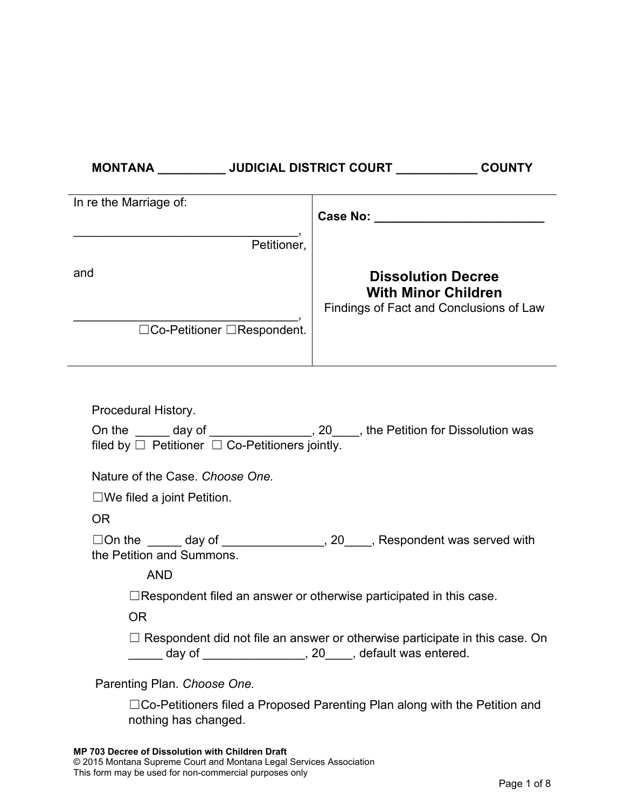| MONTANA                     | <b>JUDICIAL DISTRICT COURT</b><br><b>COUNTY</b>                                                    |  |  |  |  |
|-----------------------------|----------------------------------------------------------------------------------------------------|--|--|--|--|
| In re the Marriage of:      | <b>Case No:</b>                                                                                    |  |  |  |  |
| Petitioner,                 |                                                                                                    |  |  |  |  |
| and                         | <b>Dissolution Decree</b><br><b>With Minor Children</b><br>Findings of Fact and Conclusions of Law |  |  |  |  |
| □Co-Petitioner □Respondent. |                                                                                                    |  |  |  |  |

| Procedural History.                                                                     |  |  |  |  |  |
|-----------------------------------------------------------------------------------------|--|--|--|--|--|
| On the ______ day of _________________, 20____, the Petition for Dissolution was        |  |  |  |  |  |
| filed by $\Box$ Petitioner $\Box$ Co-Petitioners jointly.                               |  |  |  |  |  |
| Nature of the Case. Choose One.                                                         |  |  |  |  |  |
| $\square$ We filed a joint Petition.                                                    |  |  |  |  |  |
| OR.                                                                                     |  |  |  |  |  |
| $\Box$ On the $\_\_\_\_\_$ day of $\_\_\_\_\_\_\_\_\_$ , 20, Respondent was served with |  |  |  |  |  |
| the Petition and Summons.                                                               |  |  |  |  |  |
| <b>AND</b>                                                                              |  |  |  |  |  |
| $\Box$ Respondent filed an answer or otherwise participated in this case.               |  |  |  |  |  |
| 0R                                                                                      |  |  |  |  |  |
| $\Box$ Respondent did not file an answer or otherwise participate in this case. On      |  |  |  |  |  |
| day of _____________________, 20_____, default was entered.                             |  |  |  |  |  |
| Parenting Plan. Choose One.                                                             |  |  |  |  |  |

☐Co-Petitioners filed a Proposed Parenting Plan along with the Petition and nothing has changed.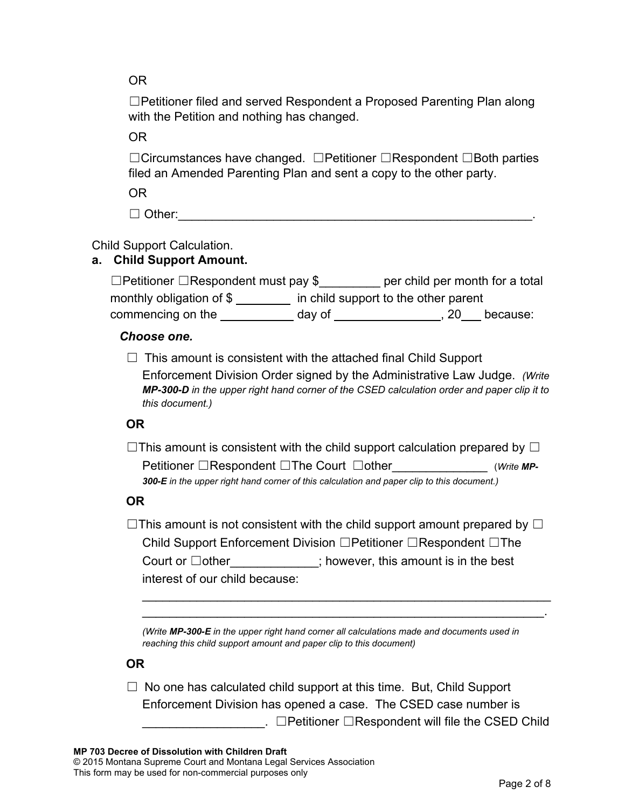OR

☐Petitioner filed and served Respondent a Proposed Parenting Plan along with the Petition and nothing has changed.

OR

☐Circumstances have changed. ☐Petitioner ☐Respondent ☐Both parties filed an Amended Parenting Plan and sent a copy to the other party.

OR

 $\Box$  Other:

Child Support Calculation.

# **a. Child Support Amount.**

| $\Box$ Petitioner $\Box$ Respondent must pay \$ |                                      |  | per child per month for a total |
|-------------------------------------------------|--------------------------------------|--|---------------------------------|
| monthly obligation of $$$                       | in child support to the other parent |  |                                 |
| commencing on the                               | day of                               |  | because:                        |

## *Choose one.*

 $\Box$  This amount is consistent with the attached final Child Support

Enforcement Division Order signed by the Administrative Law Judge. *(Write MP-300-D in the upper right hand corner of the CSED calculation order and paper clip it to this document.)*

# **OR**

 $\Box$ This amount is consistent with the child support calculation prepared by  $\Box$ Petitioner □Respondent □The Court □other *(Write MP-300-E in the upper right hand corner of this calculation and paper clip to this document.)*

# **OR**

 $\Box$ This amount is not consistent with the child support amount prepared by  $\Box$ Child Support Enforcement Division ☐Petitioner ☐Respondent ☐The Court or □other this amount is in the best interest of our child because:

\_\_\_\_\_\_\_\_\_\_\_\_\_\_\_\_\_\_\_\_\_\_\_\_\_\_\_\_\_\_\_\_\_\_\_\_\_\_\_\_\_\_\_\_\_\_\_\_\_\_\_\_\_\_\_\_\_\_\_\_ \_\_\_\_\_\_\_\_\_\_\_\_\_\_\_\_\_\_\_\_\_\_\_\_\_\_\_\_\_\_\_\_\_\_\_\_\_\_\_\_\_\_\_\_\_\_\_\_\_\_\_\_\_\_\_\_\_\_\_.

*(Write MP-300-E in the upper right hand corner all calculations made and documents used in reaching this child support amount and paper clip to this document)*

# **OR**

 $\Box$  No one has calculated child support at this time. But, Child Support Enforcement Division has opened a case. The CSED case number is  $\Box$   $\Box$  Petitioner  $\Box$ Respondent will file the CSED Child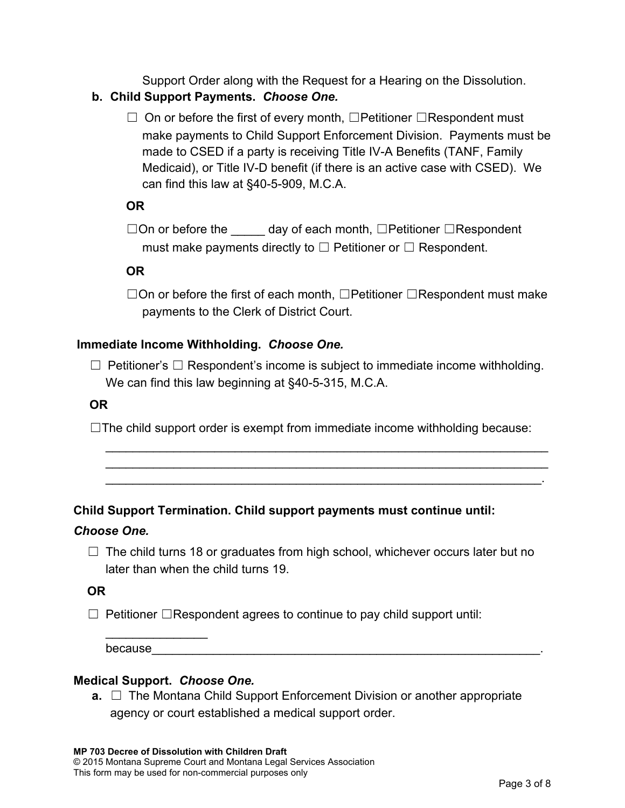Support Order along with the Request for a Hearing on the Dissolution.

## **b. Child Support Payments.** *Choose One.*

☐ On or before the first of every month, ☐Petitioner ☐Respondent must make payments to Child Support Enforcement Division. Payments must be made to CSED if a party is receiving Title IV-A Benefits (TANF, Family Medicaid), or Title IV-D benefit (if there is an active case with CSED). We can find this law at §40-5-909, M.C.A.

## **OR**

□On or before the day of each month, □Petitioner □Respondent must make payments directly to  $\Box$  Petitioner or  $\Box$  Respondent.

## **OR**

☐On or before the first of each month, ☐Petitioner ☐Respondent must make payments to the Clerk of District Court.

## **Immediate Income Withholding.** *Choose One.*

 $\Box$  Petitioner's  $\Box$  Respondent's income is subject to immediate income withholding. We can find this law beginning at §40-5-315, M.C.A.

#### **OR**

 $\Box$ The child support order is exempt from immediate income withholding because:

\_\_\_\_\_\_\_\_\_\_\_\_\_\_\_\_\_\_\_\_\_\_\_\_\_\_\_\_\_\_\_\_\_\_\_\_\_\_\_\_\_\_\_\_\_\_\_\_\_\_\_\_\_\_\_\_\_\_\_\_\_\_\_\_\_ \_\_\_\_\_\_\_\_\_\_\_\_\_\_\_\_\_\_\_\_\_\_\_\_\_\_\_\_\_\_\_\_\_\_\_\_\_\_\_\_\_\_\_\_\_\_\_\_\_\_\_\_\_\_\_\_\_\_\_\_\_\_\_\_\_ \_\_\_\_\_\_\_\_\_\_\_\_\_\_\_\_\_\_\_\_\_\_\_\_\_\_\_\_\_\_\_\_\_\_\_\_\_\_\_\_\_\_\_\_\_\_\_\_\_\_\_\_\_\_\_\_\_\_\_\_\_\_\_\_.

# **Child Support Termination. Child support payments must continue until:**

#### *Choose One.*

 $\Box$  The child turns 18 or graduates from high school, whichever occurs later but no later than when the child turns 19.

#### **OR**

☐ Petitioner ☐Respondent agrees to continue to pay child support until:

because

#### **Medical Support.** *Choose One.*

 $\overline{\phantom{a}}$ 

**a.** □ The Montana Child Support Enforcement Division or another appropriate agency or court established a medical support order.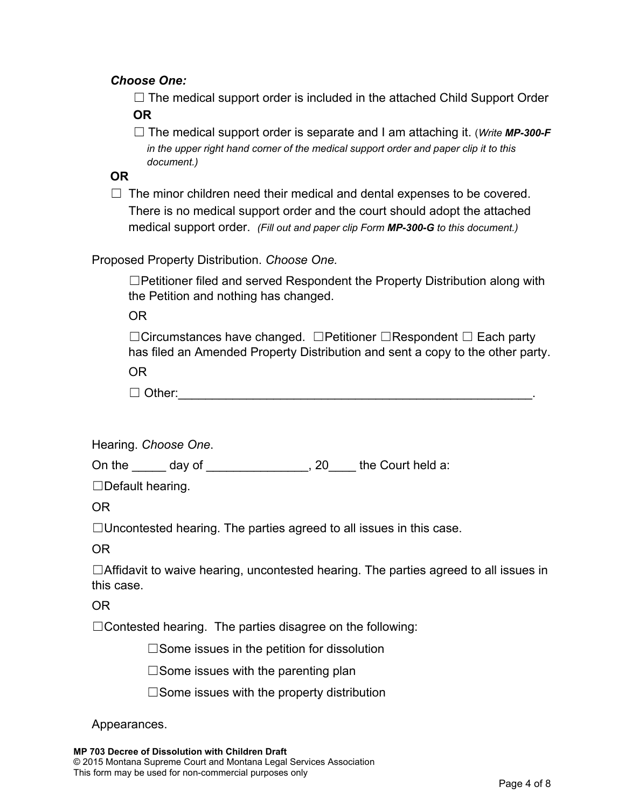#### *Choose One:*

 $\Box$  The medical support order is included in the attached Child Support Order **OR**

☐ The medical support order is separate and I am attaching it. (*Write MP-300-F in the upper right hand corner of the medical support order and paper clip it to this document.)*

**OR**

 $\Box$  The minor children need their medical and dental expenses to be covered. There is no medical support order and the court should adopt the attached medical support order. *(Fill out and paper clip Form MP-300-G to this document.)*

#### Proposed Property Distribution. *Choose One.*

☐Petitioner filed and served Respondent the Property Distribution along with the Petition and nothing has changed.

OR

☐Circumstances have changed. ☐Petitioner ☐Respondent ☐ Each party has filed an Amended Property Distribution and sent a copy to the other party. OR

☐ Other:\_\_\_\_\_\_\_\_\_\_\_\_\_\_\_\_\_\_\_\_\_\_\_\_\_\_\_\_\_\_\_\_\_\_\_\_\_\_\_\_\_\_\_\_\_\_\_\_\_\_\_\_.

Hearing. *Choose One*.

On the day of \_\_\_\_\_\_\_\_\_\_\_, 20 the Court held a:

☐Default hearing.

OR

 $\Box$ Uncontested hearing. The parties agreed to all issues in this case.

OR

☐Affidavit to waive hearing, uncontested hearing. The parties agreed to all issues in this case.

OR

 $\Box$ Contested hearing. The parties disagree on the following:

☐Some issues in the petition for dissolution

 $\square$  Some issues with the parenting plan

 $\square$  Some issues with the property distribution

Appearances.

**MP 703 Decree of Dissolution with Children Draft**  © 2015 Montana Supreme Court and Montana Legal Services Association This form may be used for non-commercial purposes only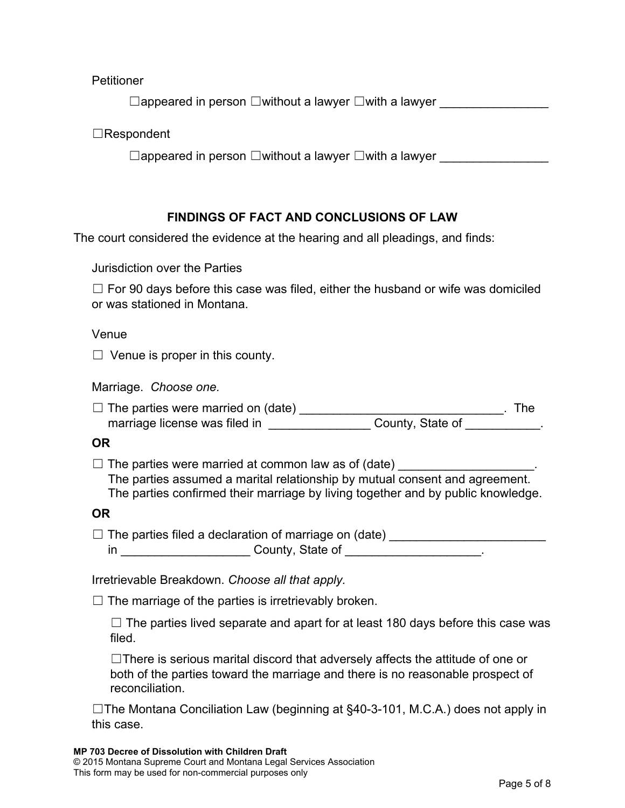**Petitioner** 

☐appeared in person ☐without a lawyer ☐with a lawyer \_\_\_\_\_\_\_\_\_\_\_\_\_\_\_\_

☐Respondent

 $□$ appeared in person  $□$ without a lawyer  $□$ with a lawyer

## **FINDINGS OF FACT AND CONCLUSIONS OF LAW**

The court considered the evidence at the hearing and all pleadings, and finds:

Jurisdiction over the Parties

 $\Box$  For 90 days before this case was filed, either the husband or wife was domiciled or was stationed in Montana.

Venue

 $\Box$  Venue is proper in this county.

Marriage. *Choose one.*

 $\Box$  The parties were married on (date) \_\_\_\_\_\_\_\_\_\_\_\_\_\_\_\_\_\_\_\_\_\_\_\_\_\_\_\_\_\_\_\_\_\_. The marriage license was filed in \_\_\_\_\_\_\_\_\_\_\_\_\_\_\_\_ County, State of \_\_\_\_\_\_\_\_\_\_\_.

**OR**

 $\Box$  The parties were married at common law as of (date)

The parties assumed a marital relationship by mutual consent and agreement. The parties confirmed their marriage by living together and by public knowledge.

#### **OR**

 $\Box$  The parties filed a declaration of marriage on (date) \_\_\_\_\_\_\_\_\_\_\_\_\_\_\_\_\_\_\_\_\_\_\_\_\_\_\_ in and a county, State of the county of the country of the country of the country of the country of the country

Irretrievable Breakdown. *Choose all that apply.*

 $\Box$  The marriage of the parties is irretrievably broken.

 $\Box$  The parties lived separate and apart for at least 180 days before this case was filed.

 $\Box$ There is serious marital discord that adversely affects the attitude of one or both of the parties toward the marriage and there is no reasonable prospect of reconciliation.

☐The Montana Conciliation Law (beginning at §40-3-101, M.C.A.) does not apply in this case.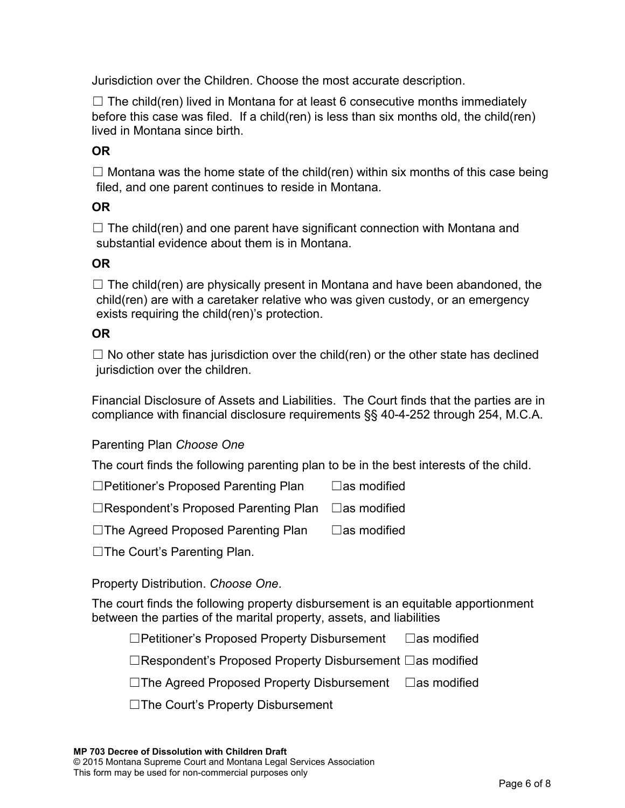Jurisdiction over the Children. Choose the most accurate description.

 $\Box$  The child(ren) lived in Montana for at least 6 consecutive months immediately before this case was filed. If a child(ren) is less than six months old, the child(ren) lived in Montana since birth.

## **OR**

 $\Box$  Montana was the home state of the child(ren) within six months of this case being filed, and one parent continues to reside in Montana.

## **OR**

 $\Box$  The child(ren) and one parent have significant connection with Montana and substantial evidence about them is in Montana.

## **OR**

 $\Box$  The child(ren) are physically present in Montana and have been abandoned, the child(ren) are with a caretaker relative who was given custody, or an emergency exists requiring the child(ren)'s protection.

## **OR**

 $\Box$  No other state has jurisdiction over the child(ren) or the other state has declined jurisdiction over the children.

Financial Disclosure of Assets and Liabilities. The Court finds that the parties are in compliance with financial disclosure requirements §§ 40-4-252 through 254, M.C.A.

#### Parenting Plan *Choose One*

The court finds the following parenting plan to be in the best interests of the child.

☐Petitioner's Proposed Parenting Plan ☐as modified

☐Respondent's Proposed Parenting Plan ☐as modified

☐The Agreed Proposed Parenting Plan ☐as modified

☐The Court's Parenting Plan.

Property Distribution. *Choose One*.

The court finds the following property disbursement is an equitable apportionment between the parties of the marital property, assets, and liabilities

☐Petitioner's Proposed Property Disbursement ☐as modified

☐Respondent's Proposed Property Disbursement ☐as modified

☐The Agreed Proposed Property Disbursement ☐as modified

☐The Court's Property Disbursement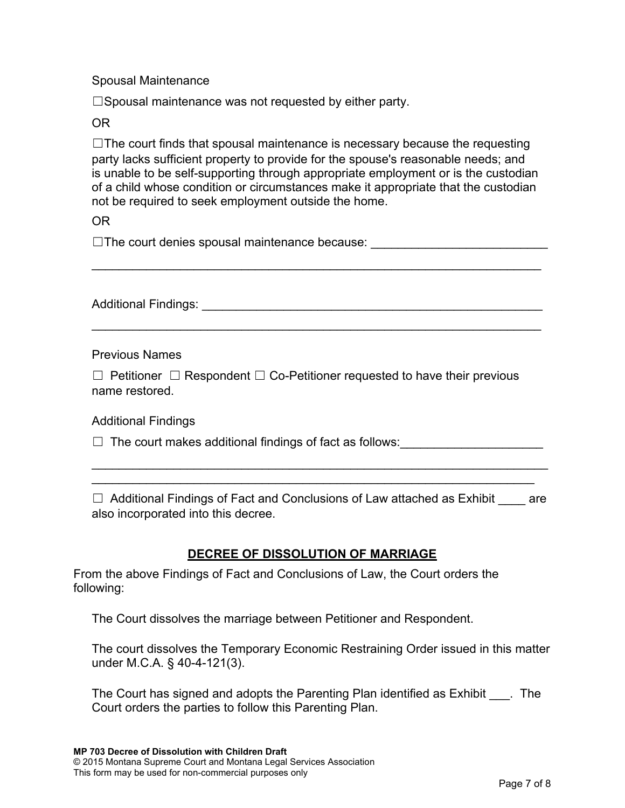#### Spousal Maintenance

☐Spousal maintenance was not requested by either party.

#### OR

 $\Box$ The court finds that spousal maintenance is necessary because the requesting party lacks sufficient property to provide for the spouse's reasonable needs; and is unable to be self-supporting through appropriate employment or is the custodian of a child whose condition or circumstances make it appropriate that the custodian not be required to seek employment outside the home.

OR

□The court denies spousal maintenance because: \_\_\_\_\_\_\_\_\_\_\_\_\_\_\_\_\_\_\_\_\_\_\_\_\_\_\_\_\_\_\_\_

\_\_\_\_\_\_\_\_\_\_\_\_\_\_\_\_\_\_\_\_\_\_\_\_\_\_\_\_\_\_\_\_\_\_\_\_\_\_\_\_\_\_\_\_\_\_\_\_\_\_\_\_\_\_\_\_\_\_\_\_\_\_\_\_\_\_

Additional Findings: \_\_\_\_\_\_\_\_\_\_\_\_\_\_\_\_\_\_\_\_\_\_\_\_\_\_\_\_\_\_\_\_\_\_\_\_\_\_\_\_\_\_\_\_\_\_\_\_\_\_

\_\_\_\_\_\_\_\_\_\_\_\_\_\_\_\_\_\_\_\_\_\_\_\_\_\_\_\_\_\_\_\_\_\_\_\_\_\_\_\_\_\_\_\_\_\_\_\_\_\_\_\_\_\_\_\_\_\_\_\_\_\_\_\_\_\_

Previous Names

☐ Petitioner ☐ Respondent ☐ Co-Petitioner requested to have their previous name restored.

Additional Findings

 $\Box$  The court makes additional findings of fact as follows:

 $\Box$  Additional Findings of Fact and Conclusions of Law attached as Exhibit  $\Box$  are also incorporated into this decree.

\_\_\_\_\_\_\_\_\_\_\_\_\_\_\_\_\_\_\_\_\_\_\_\_\_\_\_\_\_\_\_\_\_\_\_\_\_\_\_\_\_\_\_\_\_\_\_\_\_\_\_\_\_\_\_\_\_\_\_\_\_\_\_\_\_\_\_ \_\_\_\_\_\_\_\_\_\_\_\_\_\_\_\_\_\_\_\_\_\_\_\_\_\_\_\_\_\_\_\_\_\_\_\_\_\_\_\_\_\_\_\_\_\_\_\_\_\_\_\_\_\_\_\_\_\_\_\_\_\_\_\_\_

#### **DECREE OF DISSOLUTION OF MARRIAGE**

From the above Findings of Fact and Conclusions of Law, the Court orders the following:

The Court dissolves the marriage between Petitioner and Respondent.

The court dissolves the Temporary Economic Restraining Order issued in this matter under M.C.A. § 40-4-121(3).

The Court has signed and adopts the Parenting Plan identified as Exhibit . The Court orders the parties to follow this Parenting Plan.